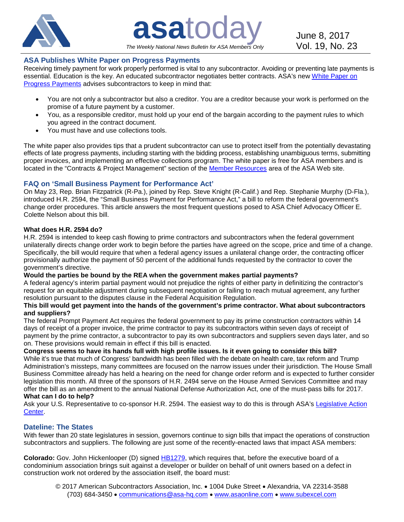

**asa**today June 8, 2017 *The Weekly National News Bulletin for ASA Members Only*

### **ASA Publishes White Paper on Progress Payments**

Receiving timely payment for work properly performed is vital to any subcontractor. Avoiding or preventing late payments is essential. Education is the key. An educated subcontractor negotiates better contracts. ASA's new [White Paper on](http://bit.ly/2rKUaYK)  [Progress Payments](http://bit.ly/2rKUaYK) advises subcontractors to keep in mind that:

- You are not only a subcontractor but also a creditor. You are a creditor because your work is performed on the promise of a future payment by a customer.
- You, as a responsible creditor, must hold up your end of the bargain according to the payment rules to which you agreed in the contract document.
- You must have and use collections tools.

The white paper also provides tips that a prudent subcontractor can use to protect itself from the potentially devastating effects of late progress payments, including starting with the bidding process, establishing unambiguous terms, submitting proper invoices, and implementing an effective collections program. The white paper is free for ASA members and is located in the "Contracts & Project Management" section of the [Member Resources](http://bit.ly/2e6fCmt) area of the ASA Web site.

### **FAQ on 'Small Business Payment for Performance Act'**

On May 23, Rep. Brian Fitzpatrick (R-Pa.), joined by Rep. Steve Knight (R-Calif.) and Rep. Stephanie Murphy (D-Fla.), introduced H.R. 2594, the "Small Business Payment for Performance Act," a bill to reform the federal government's change order procedures. This article answers the most frequent questions posed to ASA Chief Advocacy Officer E. Colette Nelson about this bill.

#### **What does H.R. 2594 do?**

H.R. 2594 is intended to keep cash flowing to prime contractors and subcontractors when the federal government unilaterally directs change order work to begin before the parties have agreed on the scope, price and time of a change. Specifically, the bill would require that when a federal agency issues a unilateral change order, the contracting officer provisionally authorize the payment of 50 percent of the additional funds requested by the contractor to cover the government's directive.

#### **Would the parties be bound by the REA when the government makes partial payments?**

A federal agency's interim partial payment would not prejudice the rights of either party in definitizing the contractor's request for an equitable adjustment during subsequent negotiation or failing to reach mutual agreement, any further resolution pursuant to the disputes clause in the Federal Acquisition Regulation.

#### **This bill would get payment into the hands of the government's prime contractor. What about subcontractors and suppliers?**

The federal Prompt Payment Act requires the federal government to pay its prime construction contractors within 14 days of receipt of a proper invoice, the prime contractor to pay its subcontractors within seven days of receipt of payment by the prime contractor, a subcontractor to pay its own subcontractors and suppliers seven days later, and so on. These provisions would remain in effect if this bill is enacted.

# **Congress seems to have its hands full with high profile issues. Is it even going to consider this bill?**

While it's true that much of Congress' bandwidth has been filled with the debate on health care, tax reform and Trump Administration's missteps, many committees are focused on the narrow issues under their jurisdiction. The House Small Business Committee already has held a hearing on the need for change order reform and is expected to further consider legislation this month. All three of the sponsors of H.R. 2494 serve on the House Armed Services Committee and may offer the bill as an amendment to the annual National Defense Authorization Act, one of the must-pass bills for 2017.

# **What can I do to help?**

Ask your U.S. Representative to co-sponsor H.R. 2594. The easiest way to do this is through ASA's [Legislative Action](http://bit.ly/2qXiynm)  [Center.](http://bit.ly/2qXiynm)

# **Dateline: The States**

With fewer than 20 state legislatures in session, governors continue to sign bills that impact the operations of construction subcontractors and suppliers. The following are just some of the recently-enacted laws that impact ASA members:

**Colorado:** Gov. John Hickenlooper (D) signed [HB1279,](http://bit.ly/2qYE8X6) which requires that, before the executive board of a condominium association brings suit against a developer or builder on behalf of unit owners based on a defect in construction work not ordered by the association itself, the board must: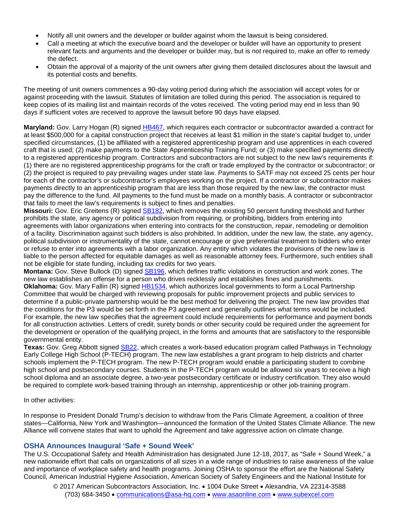- Notify all unit owners and the developer or builder against whom the lawsuit is being considered.
- Call a meeting at which the executive board and the developer or builder will have an opportunity to present relevant facts and arguments and the developer or builder may, but is not required to, make an offer to remedy the defect.
- Obtain the approval of a majority of the unit owners after giving them detailed disclosures about the lawsuit and its potential costs and benefits.

The meeting of unit owners commences a 90-day voting period during which the association will accept votes for or against proceeding with the lawsuit. Statutes of limitation are tolled during this period. The association is required to keep copies of its mailing list and maintain records of the votes received. The voting period may end in less than 90 days if sufficient votes are received to approve the lawsuit before 90 days have elapsed.

**Maryland:** Gov. Larry Hogan (R) signed [HB467,](http://bit.ly/2rM0IXi) which requires each contractor or subcontractor awarded a contract for at least \$500,000 for a capital construction project that receives at least \$1 million in the state's capital budget to, under specified circumstances, (1) be affiliated with a registered apprenticeship program and use apprentices in each covered craft that is used; (2) make payments to the State Apprenticeship Training Fund; or (3) make specified payments directly to a registered apprenticeship program. Contractors and subcontractors are not subject to the new law's requirements if: (1) there are no registered apprenticeship programs for the craft or trade employed by the contractor or subcontractor; or (2) the project is required to pay prevailing wages under state law. Payments to SATF may not exceed 25 cents per hour for each of the contractor's or subcontractor's employees working on the project. If a contractor or subcontractor makes payments directly to an apprenticeship program that are less than those required by the new law, the contractor must pay the difference to the fund. All payments to the fund must be made on a monthly basis. A contractor or subcontractor that fails to meet the law's requirements is subject to fines and penalties.

**Missouri:** Gov. Eric Greitens (R) signed [SB182,](http://on.mo.gov/2qQYgvm) which removes the existing 50 percent funding threshold and further prohibits the state, any agency or political subdivision from requiring, or prohibiting, bidders from entering into agreements with labor organizations when entering into contracts for the construction, repair, remodeling or demolition of a facility. Discrimination against such bidders is also prohibited. In addition, under the new law, the state, any agency, political subdivision or instrumentality of the state, cannot encourage or give preferential treatment to bidders who enter or refuse to enter into agreements with a labor organization. Any entity which violates the provisions of the new law is liable to the person affected for equitable damages as well as reasonable attorney fees. Furthermore, such entities shall not be eligible for state funding, including tax credits for two years.

**Montana:** Gov. Steve Bullock (D) signed [SB196,](http://bit.ly/2swFURw) which defines traffic violations in construction and work zones. The new law establishes an offense for a person who drives recklessly and establishes fines and punishments. Oklahoma: Gov. Mary Fallin (R) signed **HB1534**, which authorizes local governments to form a Local Partnership Committee that would be charged with reviewing proposals for public improvement projects and public services to determine if a public-private partnership would be the best method for delivering the project. The new law provides that the conditions for the P3 would be set forth in the P3 agreement and generally outlines what terms would be included. For example, the new law specifies that the agreement could include requirements for performance and payment bonds for all construction activities. Letters of credit, surety bonds or other security could be required under the agreement for the development or operation of the qualifying project, in the forms and amounts that are satisfactory to the responsible governmental entity.

**Texas:** Gov. Greg Abbott signed [SB22,](http://bit.ly/2oIhD8y) which creates a work-based education program called Pathways in Technology Early College High School (P-TECH) program. The new law establishes a grant program to help districts and charter schools implement the P-TECH program. The new P-TECH program would enable a participating student to combine high school and postsecondary courses. Students in the P-TECH program would be allowed six years to receive a high school diploma and an associate degree, a two-year postsecondary certificate or industry certification. They also would be required to complete work-based training through an internship, apprenticeship or other job-training program.

In other activities:

In response to President Donald Trump's decision to withdraw from the Paris Climate Agreement, a coalition of three states—California, New York and Washington—announced the formation of the United States Climate Alliance. The new Alliance will convene states that want to uphold the Agreement and take aggressive action on climate change.

#### **OSHA Announces Inaugural 'Safe + Sound Week'**

The U.S. Occupational Safety and Health Administration has designated June 12-18, 2017, as "Safe + Sound Week," a new nationwide effort that calls on organizations of all sizes in a wide range of industries to raise awareness of the value and importance of workplace safety and health programs. Joining OSHA to sponsor the effort are the National Safety Council, American Industrial Hygiene Association, American Society of Safety Engineers and the National Institute for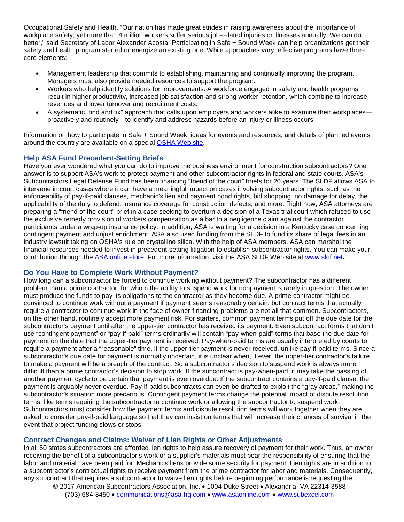Occupational Safety and Health. "Our nation has made great strides in raising awareness about the importance of workplace safety, yet more than 4 million workers suffer serious job-related injuries or illnesses annually. We can do better," said Secretary of Labor Alexander Acosta. Participating in Safe + Sound Week can help organizations get their safety and health program started or energize an existing one. While approaches vary, effective programs have three core elements:

- Management leadership that commits to establishing, maintaining and continually improving the program. Managers must also provide needed resources to support the program.
- Workers who help identify solutions for improvements. A workforce engaged in safety and health programs result in higher productivity, increased job satisfaction and strong worker retention, which combine to increase revenues and lower turnover and recruitment costs.
- A systematic "find and fix" approach that calls upon employers and workers alike to examine their workplaces proactively and routinely—to identify and address hazards before an injury or illness occurs.

Information on how to participate in Safe + Sound Week, ideas for events and resources, and details of planned events around the country are available on a special [OSHA Web site.](http://bit.ly/2mdeIX6)

#### **Help ASA Fund Precedent-Setting Briefs**

Have you ever wondered what *you* can do to improve the business environment for construction subcontractors? One answer is to support ASA's work to protect payment and other subcontractor rights in federal and state courts. ASA's Subcontractors Legal Defense Fund has been financing "friend of the court" briefs for 20 years. The SLDF allows ASA to intervene in court cases where it can have a meaningful impact on cases involving subcontractor rights, such as the enforceability of pay-if-paid clauses, mechanic's lien and payment bond rights, bid shopping, no damage for delay, the applicability of the duty to defend, insurance coverage for construction defects, and more. Right now, ASA attorneys are preparing a "friend of the court" brief in a case seeking to overturn a decision of a Texas trial court which refused to use the exclusive remedy provision of workers compensation as a bar to a negligence claim against the contractor participants under a wrap-up insurance policy. In addition, ASA is waiting for a decision in a Kentucky case concerning contingent payment and unjust enrichment. ASA also used funding from the SLDF to fund its share of legal fees in an industry lawsuit taking on OSHA's rule on crystalline silica. With the help of ASA members, ASA can marshal the financial resources needed to invest in precedent-setting litigation to establish subcontractor rights. You can make your contribution through the [ASA online store.](http://bit.ly/1TXJigc) For more information, visit the ASA SLDF Web site at [www.sldf.net.](http://www.sldf.net/)

#### **Do You Have to Complete Work Without Payment?**

How long can a subcontractor be forced to continue working without payment? The subcontractor has a different problem than a prime contractor, for whom the ability to suspend work for nonpayment is rarely in question. The owner must produce the funds to pay its obligations to the contractor as they become due. A prime contractor might be convinced to continue work without a payment if payment seems reasonably certain, but contract terms that actually require a contractor to continue work in the face of owner-financing problems are not all that common. Subcontractors, on the other hand, routinely accept more payment risk. For starters, common payment terms put off the due date for the subcontractor's payment until after the upper-tier contractor has received its payment. Even subcontract forms that don't use "contingent payment" or "pay-if-paid" terms ordinarily will contain "pay-when-paid" terms that base the due date for payment on the date that the upper-tier payment is received. Pay-when-paid terms are usually interpreted by courts to require a payment after a "reasonable" time, if the upper-tier payment is never received, unlike pay-if-paid terms. Since a subcontractor's due date for payment is normally uncertain, it is unclear when, if ever, the upper-tier contractor's failure to make a payment will be a breach of the contract. So a subcontractor's decision to suspend work is always more difficult than a prime contractor's decision to stop work. If the subcontract is pay-when-paid, it may take the passing of another payment cycle to be certain that payment is even overdue. If the subcontract contains a pay-if-paid clause, the payment is arguably never overdue. Pay-if-paid subcontracts can even be drafted to exploit the "gray areas," making the subcontractor's situation more precarious. Contingent payment terms change the potential impact of dispute resolution terms, like terms requiring the subcontractor to continue work or allowing the subcontractor to suspend work. Subcontractors must consider how the payment terms and dispute resolution terms will work together when they are asked to consider pay-if-paid language so that they can insist on terms that will increase their chances of survival in the event that project funding slows or stops.

### **Contract Changes and Claims: Waiver of Lien Rights or Other Adjustments**

In all 50 states subcontractors are afforded lien rights to help assure recovery of payment for their work. Thus, an owner receiving the benefit of a subcontractor's work or a supplier's materials must bear the responsibility of ensuring that the labor and material have been paid for. Mechanics liens provide some security for payment. Lien rights are in addition to a subcontractor's contractual rights to receive payment from the prime contractor for labor and materials. Consequently, any subcontract that requires a subcontractor to waive lien rights before beginning performance is requesting the

© 2017 American Subcontractors Association, Inc. • 1004 Duke Street • Alexandria, VA 22314-3588 (703) 684-3450 • [communications@asa-hq.com](mailto:communications@asa-hq.com) • [www.asaonline.com](http://www.asaonline.com/) • [www.subexcel.com](http://www.subexcel.com/)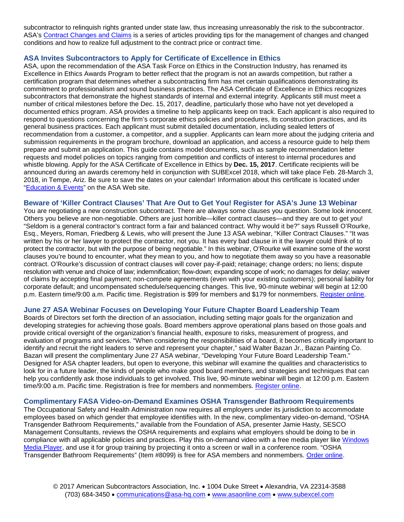subcontractor to relinquish rights granted under state law, thus increasing unreasonably the risk to the subcontractor. ASA's [Contract Changes and Claims](http://bit.ly/1CRsZuK) is a series of articles providing tips for the management of changes and changed conditions and how to realize full adjustment to the contract price or contract time.

#### **ASA Invites Subcontractors to Apply for Certificate of Excellence in Ethics**

ASA, upon the recommendation of the ASA Task Force on Ethics in the Construction Industry, has renamed its Excellence in Ethics Awards Program to better reflect that the program is not an awards competition, but rather a certification program that determines whether a subcontracting firm has met certain qualifications demonstrating its commitment to professionalism and sound business practices. The ASA Certificate of Excellence in Ethics recognizes subcontractors that demonstrate the highest standards of internal and external integrity. Applicants still must meet a number of critical milestones before the Dec. 15, 2017, deadline, particularly those who have not yet developed a documented ethics program. ASA provides a timeline to help applicants keep on track. Each applicant is also required to respond to questions concerning the firm's corporate ethics policies and procedures, its construction practices, and its general business practices. Each applicant must submit detailed documentation, including sealed letters of recommendation from a customer, a competitor, and a supplier. Applicants can learn more about the judging criteria and submission requirements in the program brochure, download an application, and access a resource guide to help them prepare and submit an application. This guide contains model documents, such as sample recommendation letter requests and model policies on topics ranging from competition and conflicts of interest to internal procedures and whistle blowing. Apply for the ASA Certificate of Excellence in Ethics by **Dec. 15, 2017**. Certificate recipients will be announced during an awards ceremony held in conjunction with SUBExcel 2018, which will take place Feb. 28-March 3, 2018, in Tempe, Ariz. Be sure to save the dates on your calendar! Information about this certificate is located under ["Education & Events"](http://bit.ly/1q7DUv9) on the ASA Web site.

#### **Beware of 'Killer Contract Clauses' That Are Out to Get You! Register for ASA's June 13 Webinar**

You are negotiating a new construction subcontract. There are always some clauses you question. Some look innocent. Others you believe are non-negotiable. Others are just horrible—killer contract clauses—and they are out to get you! "Seldom is a general contractor's contract form a fair and balanced contract. Why would it be?" says Russell O'Rourke, Esq., Meyers, Roman, Friedberg & Lewis, who will present the June 13 ASA webinar, "Killer Contract Clauses." "It was written by his or her lawyer to protect the contractor, not you. It has every bad clause in it the lawyer could think of to protect the contractor, but with the purpose of being negotiable." In this webinar, O'Rourke will examine some of the worst clauses you're bound to encounter, what they mean to you, and how to negotiate them away so you have a reasonable contract. O'Rourke's discussion of contract clauses will cover pay-if-paid; retainage; change orders; no liens; dispute resolution with venue and choice of law; indemnification; flow-down; expanding scope of work; no damages for delay; waiver of claims by accepting final payment; non-compete agreements (even with your existing customers); personal liability for corporate default; and uncompensated schedule/sequencing changes. This live, 90-minute webinar will begin at 12:00 p.m. Eastern time/9:00 a.m. Pacific time. Registration is \$99 for members and \$179 for nonmembers. [Register online.](http://bit.ly/2gkw4j4)

### **June 27 ASA Webinar Focuses on Developing Your Future Chapter Board Leadership Team**

Boards of Directors set forth the direction of an association, including setting major goals for the organization and developing strategies for achieving those goals. Board members approve operational plans based on those goals and provide critical oversight of the organization's financial health, exposure to risks, measurement of progress, and evaluation of programs and services. "When considering the responsibilities of a board, it becomes critically important to identify and recruit the right leaders to serve and represent your chapter," said Walter Bazan Jr., Bazan Painting Co. Bazan will present the complimentary June 27 ASA webinar, "Developing Your Future Board Leadership Team." Designed for ASA chapter leaders, but open to everyone, this webinar will examine the qualities and characteristics to look for in a future leader, the kinds of people who make good board members, and strategies and techniques that can help you confidently ask those individuals to get involved. This live, 90-minute webinar will begin at 12:00 p.m. Eastern time/9:00 a.m. Pacific time. Registration is free for members and nonmembers. [Register online.](http://bit.ly/2o9OghA)

#### **Complimentary FASA Video-on-Demand Examines OSHA Transgender Bathroom Requirements**

The Occupational Safety and Health Administration now requires all employers under its jurisdiction to accommodate employees based on which gender that employee identifies with. In the new, complimentary video-on-demand, "OSHA Transgender Bathroom Requirements," available from the Foundation of ASA, presenter Jamie Hasty, SESCO Management Consultants, reviews the OSHA requirements and explains what employers should be doing to be in compliance with all applicable policies and practices. Play this on-demand video with a free media player like [Windows](http://windows.microsoft.com/en-US/windows/downloads/windows-media-player/)  [Media Player,](http://windows.microsoft.com/en-US/windows/downloads/windows-media-player/) and use it for group training by projecting it onto a screen or wall in a conference room. "OSHA Transgender Bathroom Requirements" (Item #8099) is free for ASA members and nonmembers. [Order online.](http://bit.ly/2jbl7Nl)